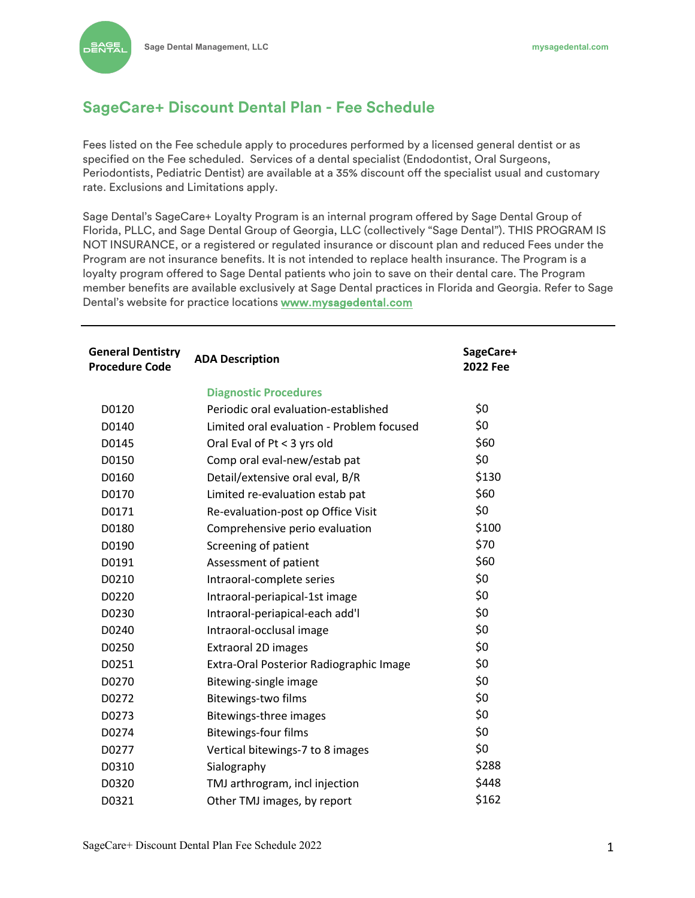**DENTA** 

## **SageCare+ Discount Dental Plan - Fee Schedule**

Fees listed on the Fee schedule apply to procedures performed by a licensed general dentist or as specified on the Fee scheduled. Services of a dental specialist (Endodontist, Oral Surgeons, Periodontists, Pediatric Dentist) are available at a 35% discount off the specialist usual and customary rate. Exclusions and Limitations apply.

Sage Dental's SageCare+ Loyalty Program is an internal program offered by Sage Dental Group of Florida, PLLC, and Sage Dental Group of Georgia, LLC (collectively "Sage Dental"). THIS PROGRAM IS NOT INSURANCE, or a registered or regulated insurance or discount plan and reduced Fees under the Program are not insurance benefits. It is not intended to replace health insurance. The Program is a loyalty program offered to Sage Dental patients who join to save on their dental care. The Program member benefits are available exclusively at Sage Dental practices in Florida and Georgia. Refer to Sage Dental's website for practice locations www.mysagedental.com

| <b>General Dentistry</b><br><b>Procedure Code</b> | <b>ADA Description</b>                    | SageCare+<br><b>2022 Fee</b> |  |
|---------------------------------------------------|-------------------------------------------|------------------------------|--|
|                                                   | <b>Diagnostic Procedures</b>              |                              |  |
| D0120                                             | Periodic oral evaluation-established      | \$0                          |  |
| D0140                                             | Limited oral evaluation - Problem focused | \$0                          |  |
| D0145                                             | Oral Eval of Pt < 3 yrs old               | \$60                         |  |
| D0150                                             | Comp oral eval-new/estab pat              | \$0                          |  |
| D0160                                             | Detail/extensive oral eval, B/R           | \$130                        |  |
| D0170                                             | Limited re-evaluation estab pat           | \$60                         |  |
| D0171                                             | Re-evaluation-post op Office Visit        | \$0                          |  |
| D0180                                             | Comprehensive perio evaluation            | \$100                        |  |
| D0190                                             | Screening of patient                      | \$70                         |  |
| D0191                                             | Assessment of patient                     | \$60                         |  |
| D0210                                             | Intraoral-complete series                 | \$0                          |  |
| D0220                                             | Intraoral-periapical-1st image            | \$0                          |  |
| D0230                                             | Intraoral-periapical-each add'l           | \$0                          |  |
| D0240                                             | Intraoral-occlusal image                  | \$0                          |  |
| D0250                                             | <b>Extraoral 2D images</b>                | \$0                          |  |
| D0251                                             | Extra-Oral Posterior Radiographic Image   | \$0                          |  |
| D0270                                             | Bitewing-single image                     | \$0                          |  |
| D0272                                             | Bitewings-two films                       | \$0                          |  |
| D0273                                             | Bitewings-three images                    | \$0                          |  |
| D0274                                             | <b>Bitewings-four films</b>               | \$0                          |  |
| D0277                                             | Vertical bitewings-7 to 8 images          | \$0                          |  |
| D0310                                             | Sialography                               | \$288                        |  |
| D0320                                             | TMJ arthrogram, incl injection            | \$448                        |  |
| D0321                                             | Other TMJ images, by report               | \$162                        |  |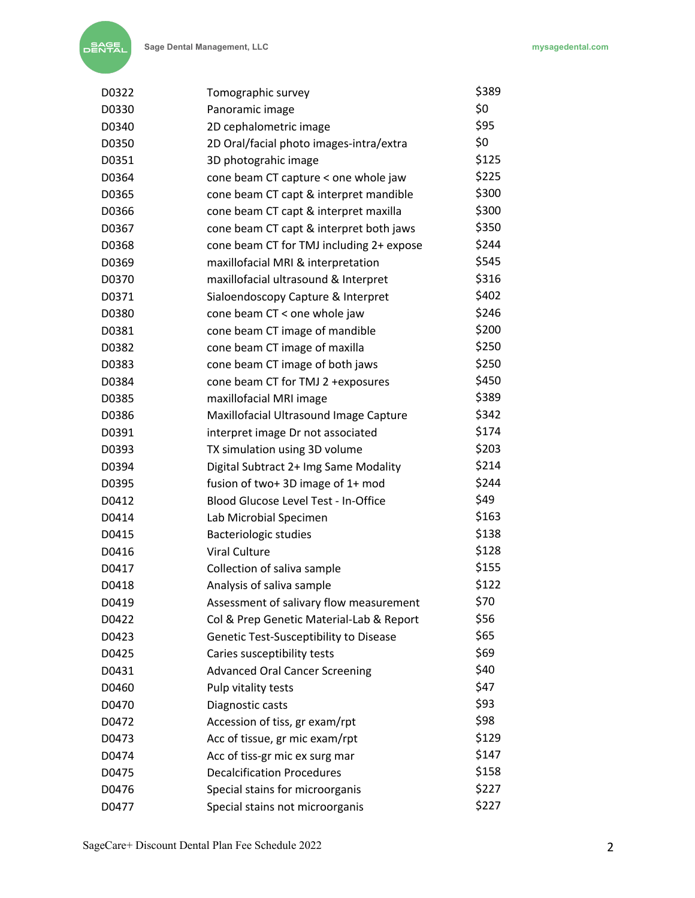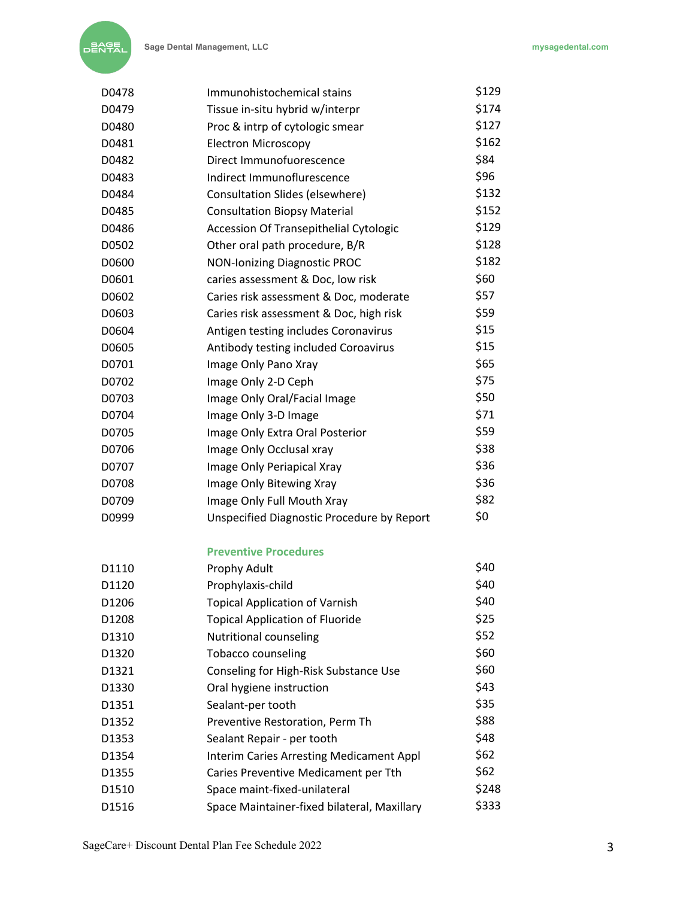| D0478             | Immunohistochemical stains                      | \$129 |
|-------------------|-------------------------------------------------|-------|
| D0479             | Tissue in-situ hybrid w/interpr                 | \$174 |
| D0480             | Proc & intrp of cytologic smear                 | \$127 |
| D0481             | <b>Electron Microscopy</b>                      | \$162 |
| D0482             | Direct Immunofuorescence                        | \$84  |
| D0483             | Indirect Immunoflurescence                      | \$96  |
| D0484             | Consultation Slides (elsewhere)                 | \$132 |
| D0485             | <b>Consultation Biopsy Material</b>             | \$152 |
| D0486             | Accession Of Transepithelial Cytologic          | \$129 |
| D0502             | Other oral path procedure, B/R                  | \$128 |
| D0600             | <b>NON-Ionizing Diagnostic PROC</b>             | \$182 |
| D0601             | caries assessment & Doc, low risk               | \$60  |
| D0602             | Caries risk assessment & Doc, moderate          | \$57  |
| D0603             | Caries risk assessment & Doc, high risk         | \$59  |
| D0604             | Antigen testing includes Coronavirus            | \$15  |
| D0605             | Antibody testing included Coroavirus            | \$15  |
| D0701             | Image Only Pano Xray                            | \$65  |
| D0702             | Image Only 2-D Ceph                             | \$75  |
| D0703             | Image Only Oral/Facial Image                    | \$50  |
| D0704             | Image Only 3-D Image                            | \$71  |
| D0705             | Image Only Extra Oral Posterior                 | \$59  |
| D0706             | Image Only Occlusal xray                        | \$38  |
| D0707             | Image Only Periapical Xray                      | \$36  |
| D0708             | Image Only Bitewing Xray                        | \$36  |
| D0709             | Image Only Full Mouth Xray                      | \$82  |
| D0999             | Unspecified Diagnostic Procedure by Report      | \$0   |
|                   | <b>Preventive Procedures</b>                    |       |
| D1110             | Prophy Adult                                    | \$40  |
| D1120             | Prophylaxis-child                               | \$40  |
| D <sub>1206</sub> | <b>Topical Application of Varnish</b>           | \$40  |
| D1208             | <b>Topical Application of Fluoride</b>          | \$25  |
| D1310             | Nutritional counseling                          | \$52  |
| D1320             | <b>Tobacco counseling</b>                       | \$60  |
| D1321             | Conseling for High-Risk Substance Use           | \$60  |
| D1330             | Oral hygiene instruction                        | \$43  |
| D1351             | Sealant-per tooth                               | \$35  |
| D1352             | Preventive Restoration, Perm Th                 | \$88  |
| D1353             | Sealant Repair - per tooth                      | \$48  |
| D1354             | <b>Interim Caries Arresting Medicament Appl</b> | \$62  |
| D1355             | Caries Preventive Medicament per Tth            | \$62  |
| D1510             | Space maint-fixed-unilateral                    | \$248 |
| D1516             | Space Maintainer-fixed bilateral, Maxillary     | \$333 |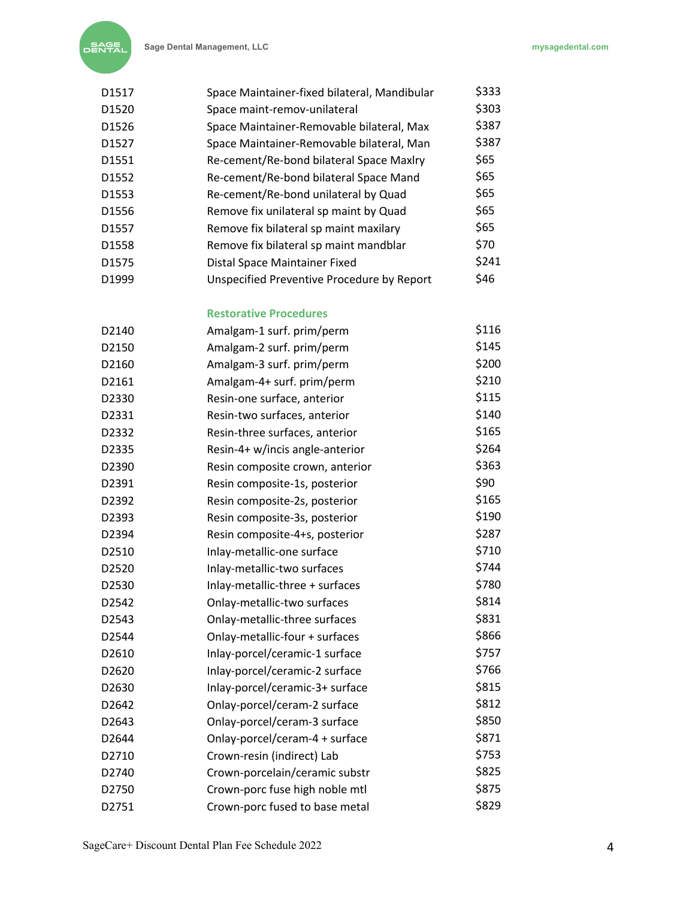

| D1517             | Space Maintainer-fixed bilateral, Mandibular | \$333 |
|-------------------|----------------------------------------------|-------|
| D1520             | Space maint-remov-unilateral                 | \$303 |
| D1526             | Space Maintainer-Removable bilateral, Max    | \$387 |
| D1527             | Space Maintainer-Removable bilateral, Man    | \$387 |
| D1551             | Re-cement/Re-bond bilateral Space Maxlry     | \$65  |
| D <sub>1552</sub> | Re-cement/Re-bond bilateral Space Mand       | \$65  |
| D1553             | Re-cement/Re-bond unilateral by Quad         | \$65  |
| D1556             | Remove fix unilateral sp maint by Quad       | \$65  |
| D1557             | Remove fix bilateral sp maint maxilary       | \$65  |
| D1558             | Remove fix bilateral sp maint mandblar       | \$70  |
| D <sub>1575</sub> | Distal Space Maintainer Fixed                | \$241 |
| D1999             | Unspecified Preventive Procedure by Report   | \$46  |

## **Restorative Procedures**

| D2140 | Amalgam-1 surf. prim/perm       | \$116 |
|-------|---------------------------------|-------|
| D2150 | Amalgam-2 surf. prim/perm       | \$145 |
| D2160 | Amalgam-3 surf. prim/perm       | \$200 |
| D2161 | Amalgam-4+ surf. prim/perm      | \$210 |
| D2330 | Resin-one surface, anterior     | \$115 |
| D2331 | Resin-two surfaces, anterior    | \$140 |
| D2332 | Resin-three surfaces, anterior  | \$165 |
| D2335 | Resin-4+ w/incis angle-anterior | \$264 |
| D2390 | Resin composite crown, anterior | \$363 |
| D2391 | Resin composite-1s, posterior   | \$90  |
| D2392 | Resin composite-2s, posterior   | \$165 |
| D2393 | Resin composite-3s, posterior   | \$190 |
| D2394 | Resin composite-4+s, posterior  | \$287 |
| D2510 | Inlay-metallic-one surface      | \$710 |
| D2520 | Inlay-metallic-two surfaces     | \$744 |
| D2530 | Inlay-metallic-three + surfaces | \$780 |
| D2542 | Onlay-metallic-two surfaces     | \$814 |
| D2543 | Onlay-metallic-three surfaces   | \$831 |
| D2544 | Onlay-metallic-four + surfaces  | \$866 |
| D2610 | Inlay-porcel/ceramic-1 surface  | \$757 |
| D2620 | Inlay-porcel/ceramic-2 surface  | \$766 |
| D2630 | Inlay-porcel/ceramic-3+ surface | \$815 |
| D2642 | Onlay-porcel/ceram-2 surface    | \$812 |
| D2643 | Onlay-porcel/ceram-3 surface    | \$850 |
| D2644 | Onlay-porcel/ceram-4 + surface  | \$871 |
| D2710 | Crown-resin (indirect) Lab      | \$753 |
| D2740 | Crown-porcelain/ceramic substr  | \$825 |
| D2750 | Crown-porc fuse high noble mtl  | \$875 |
| D2751 | Crown-porc fused to base metal  | \$829 |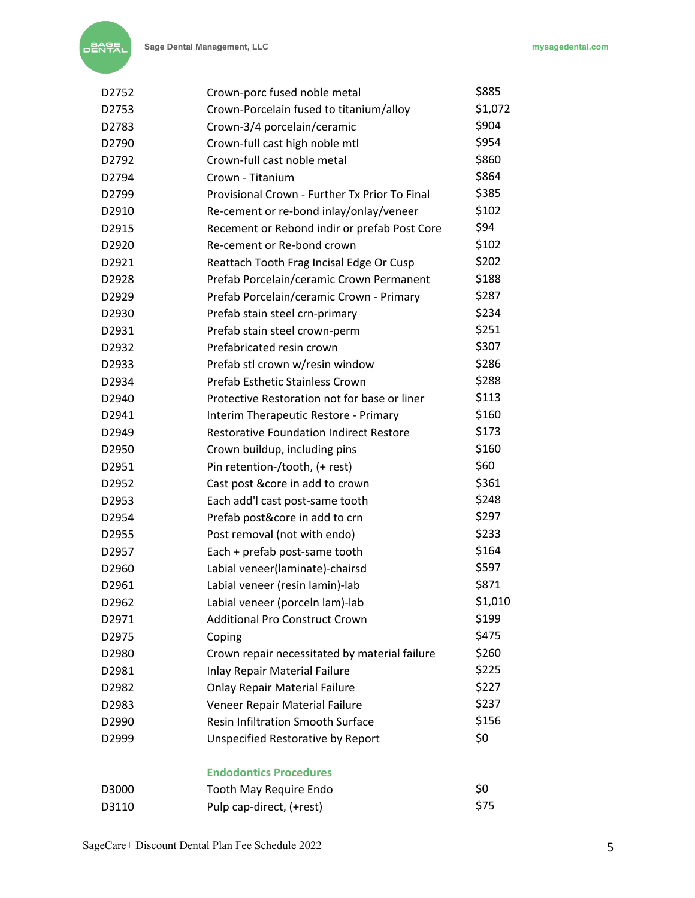| D <sub>2752</sub> | Crown-porc fused noble metal                   | \$885   |
|-------------------|------------------------------------------------|---------|
| D2753             | Crown-Porcelain fused to titanium/alloy        | \$1,072 |
| D2783             | Crown-3/4 porcelain/ceramic                    | \$904   |
| D2790             | Crown-full cast high noble mtl                 | \$954   |
| D2792             | Crown-full cast noble metal                    | \$860   |
| D2794             | Crown - Titanium                               | \$864   |
| D2799             | Provisional Crown - Further Tx Prior To Final  | \$385   |
| D2910             | Re-cement or re-bond inlay/onlay/veneer        | \$102   |
| D2915             | Recement or Rebond indir or prefab Post Core   | \$94    |
| D2920             | Re-cement or Re-bond crown                     | \$102   |
| D2921             | Reattach Tooth Frag Incisal Edge Or Cusp       | \$202   |
| D2928             | Prefab Porcelain/ceramic Crown Permanent       | \$188   |
| D2929             | Prefab Porcelain/ceramic Crown - Primary       | \$287   |
| D2930             | Prefab stain steel crn-primary                 | \$234   |
| D2931             | Prefab stain steel crown-perm                  | \$251   |
| D2932             | Prefabricated resin crown                      | \$307   |
| D2933             | Prefab stl crown w/resin window                | \$286   |
| D2934             | Prefab Esthetic Stainless Crown                | \$288   |
| D2940             | Protective Restoration not for base or liner   | \$113   |
| D2941             | Interim Therapeutic Restore - Primary          | \$160   |
| D2949             | <b>Restorative Foundation Indirect Restore</b> | \$173   |
| D2950             | Crown buildup, including pins                  | \$160   |
| D2951             | Pin retention-/tooth, (+ rest)                 | \$60    |
| D2952             | Cast post &core in add to crown                | \$361   |
| D2953             | Each add'l cast post-same tooth                | \$248   |
| D2954             | Prefab post&core in add to crn                 | \$297   |
| D2955             | Post removal (not with endo)                   | \$233   |
| D2957             | Each + prefab post-same tooth                  | \$164   |
| D2960             | Labial veneer(laminate)-chairsd                | \$597   |
| D2961             | Labial veneer (resin lamin)-lab                | \$871   |
| D2962             | Labial veneer (porceln lam)-lab                | \$1,010 |
| D2971             | <b>Additional Pro Construct Crown</b>          | \$199   |
| D2975             | Coping                                         | \$475   |
| D2980             | Crown repair necessitated by material failure  | \$260   |
| D2981             | <b>Inlay Repair Material Failure</b>           | \$225   |
| D2982             | <b>Onlay Repair Material Failure</b>           | \$227   |
| D2983             | Veneer Repair Material Failure                 | \$237   |
| D2990             | Resin Infiltration Smooth Surface              | \$156   |
| D2999             | <b>Unspecified Restorative by Report</b>       | \$0     |
|                   | <b>Endodontics Procedures</b>                  |         |

| D3000 | Tooth May Require Endo   | S0  |
|-------|--------------------------|-----|
| D3110 | Pulp cap-direct, (+rest) | S75 |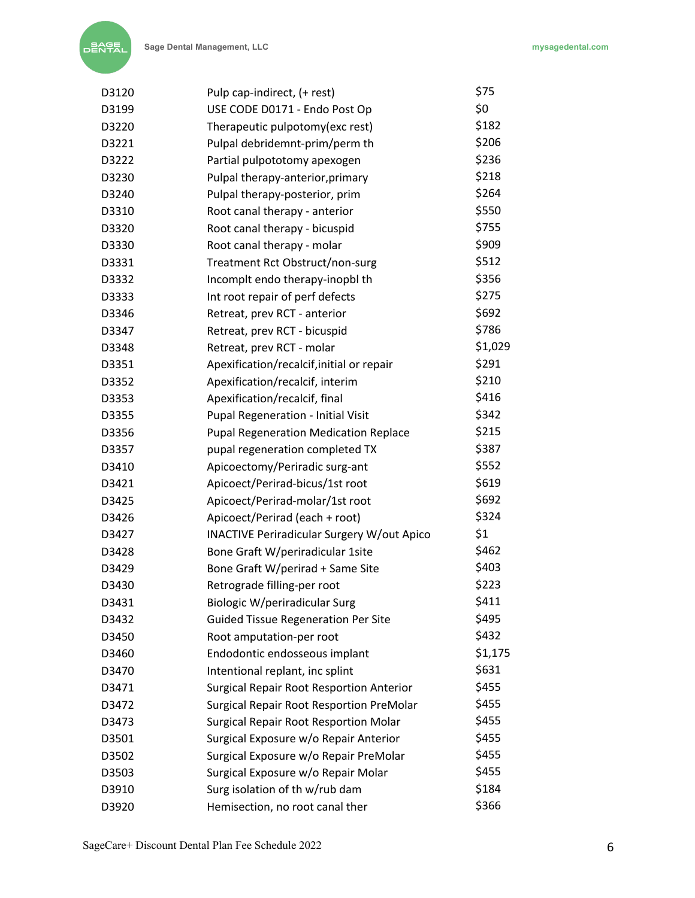| D3120 | Pulp cap-indirect, (+ rest)                       | \$75    |
|-------|---------------------------------------------------|---------|
| D3199 | USE CODE D0171 - Endo Post Op                     | \$0     |
| D3220 | Therapeutic pulpotomy(exc rest)                   | \$182   |
| D3221 | Pulpal debridemnt-prim/perm th                    | \$206   |
| D3222 | Partial pulpototomy apexogen                      | \$236   |
| D3230 | Pulpal therapy-anterior, primary                  | \$218   |
| D3240 | Pulpal therapy-posterior, prim                    | \$264   |
| D3310 | Root canal therapy - anterior                     | \$550   |
| D3320 | Root canal therapy - bicuspid                     | \$755   |
| D3330 | Root canal therapy - molar                        | \$909   |
| D3331 | Treatment Rct Obstruct/non-surg                   | \$512   |
| D3332 | Incomplt endo therapy-inopbl th                   | \$356   |
| D3333 | Int root repair of perf defects                   | \$275   |
| D3346 | Retreat, prev RCT - anterior                      | \$692   |
| D3347 | Retreat, prev RCT - bicuspid                      | \$786   |
| D3348 | Retreat, prev RCT - molar                         | \$1,029 |
| D3351 | Apexification/recalcif, initial or repair         | \$291   |
| D3352 | Apexification/recalcif, interim                   | \$210   |
| D3353 | Apexification/recalcif, final                     | \$416   |
| D3355 | Pupal Regeneration - Initial Visit                | \$342   |
| D3356 | <b>Pupal Regeneration Medication Replace</b>      | \$215   |
| D3357 | pupal regeneration completed TX                   | \$387   |
| D3410 | Apicoectomy/Periradic surg-ant                    | \$552   |
| D3421 | Apicoect/Perirad-bicus/1st root                   | \$619   |
| D3425 | Apicoect/Perirad-molar/1st root                   | \$692   |
| D3426 | Apicoect/Perirad (each + root)                    | \$324   |
| D3427 | <b>INACTIVE Periradicular Surgery W/out Apico</b> | \$1     |
| D3428 | Bone Graft W/periradicular 1site                  | \$462   |
| D3429 | Bone Graft W/perirad + Same Site                  | \$403   |
| D3430 | Retrograde filling-per root                       | \$223   |
| D3431 | Biologic W/periradicular Surg                     | \$411   |
| D3432 | <b>Guided Tissue Regeneration Per Site</b>        | \$495   |
| D3450 | Root amputation-per root                          | \$432   |
| D3460 | Endodontic endosseous implant                     | \$1,175 |
| D3470 | Intentional replant, inc splint                   | \$631   |
| D3471 | <b>Surgical Repair Root Resportion Anterior</b>   | \$455   |
| D3472 | Surgical Repair Root Resportion PreMolar          | \$455   |
| D3473 | <b>Surgical Repair Root Resportion Molar</b>      | \$455   |
| D3501 | Surgical Exposure w/o Repair Anterior             | \$455   |
| D3502 | Surgical Exposure w/o Repair PreMolar             | \$455   |
| D3503 | Surgical Exposure w/o Repair Molar                | \$455   |
| D3910 | Surg isolation of th w/rub dam                    | \$184   |
| D3920 | Hemisection, no root canal ther                   | \$366   |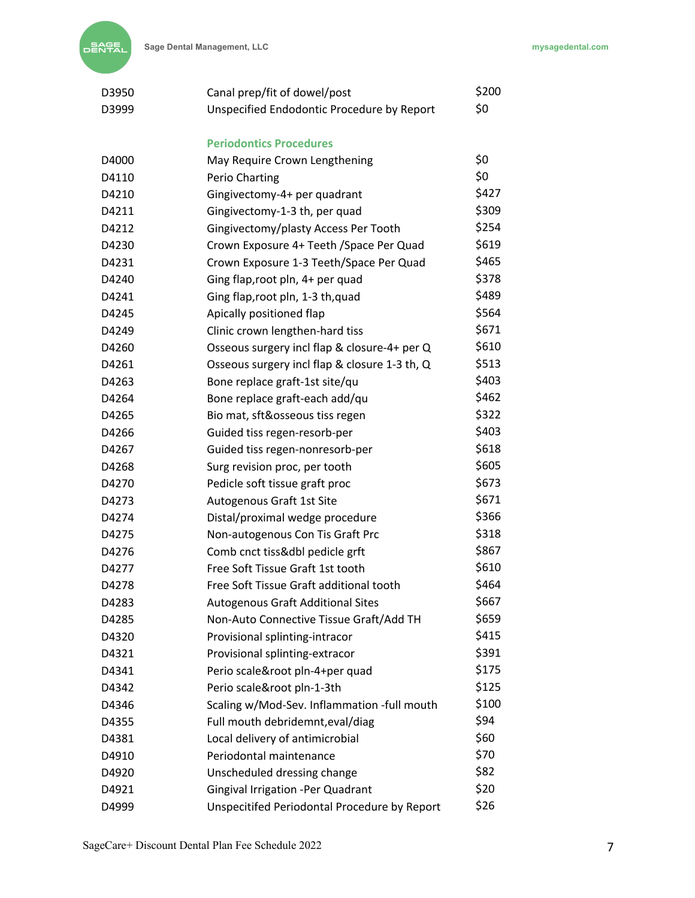| D3950 | Canal prep/fit of dowel/post                  | \$200 |
|-------|-----------------------------------------------|-------|
| D3999 | Unspecified Endodontic Procedure by Report    | \$0   |
|       | <b>Periodontics Procedures</b>                |       |
| D4000 | May Require Crown Lengthening                 | \$0   |
| D4110 | Perio Charting                                | \$0   |
| D4210 | Gingivectomy-4+ per quadrant                  | \$427 |
| D4211 | Gingivectomy-1-3 th, per quad                 | \$309 |
| D4212 | Gingivectomy/plasty Access Per Tooth          | \$254 |
| D4230 | Crown Exposure 4+ Teeth / Space Per Quad      | \$619 |
| D4231 | Crown Exposure 1-3 Teeth/Space Per Quad       | \$465 |
| D4240 | Ging flap, root pln, 4+ per quad              | \$378 |
| D4241 | Ging flap, root pln, 1-3 th, quad             | \$489 |
| D4245 | Apically positioned flap                      | \$564 |
| D4249 | Clinic crown lengthen-hard tiss               | \$671 |
| D4260 | Osseous surgery incl flap & closure-4+ per Q  | \$610 |
| D4261 | Osseous surgery incl flap & closure 1-3 th, Q | \$513 |
| D4263 | Bone replace graft-1st site/qu                | \$403 |
| D4264 | Bone replace graft-each add/qu                | \$462 |
| D4265 | Bio mat, sft&osseous tiss regen               | \$322 |
| D4266 | Guided tiss regen-resorb-per                  | \$403 |
| D4267 | Guided tiss regen-nonresorb-per               | \$618 |
| D4268 | Surg revision proc, per tooth                 | \$605 |
| D4270 | Pedicle soft tissue graft proc                | \$673 |
| D4273 | Autogenous Graft 1st Site                     | \$671 |
| D4274 | Distal/proximal wedge procedure               | \$366 |
| D4275 | Non-autogenous Con Tis Graft Prc              | \$318 |
| D4276 | Comb cnct tiss&dbl pedicle grft               | \$867 |
| D4277 | Free Soft Tissue Graft 1st tooth              | \$610 |
| D4278 | Free Soft Tissue Graft additional tooth       | \$464 |
| D4283 | <b>Autogenous Graft Additional Sites</b>      | \$667 |
| D4285 | Non-Auto Connective Tissue Graft/Add TH       | \$659 |
| D4320 | Provisional splinting-intracor                | \$415 |
| D4321 | Provisional splinting-extracor                | \$391 |
| D4341 | Perio scale&root pln-4+per quad               | \$175 |
| D4342 | Perio scale&root pln-1-3th                    | \$125 |
| D4346 | Scaling w/Mod-Sev. Inflammation -full mouth   | \$100 |
| D4355 | Full mouth debridemnt, eval/diag              | \$94  |
| D4381 | Local delivery of antimicrobial               | \$60  |
| D4910 | Periodontal maintenance                       | \$70  |
| D4920 | Unscheduled dressing change                   | \$82  |
| D4921 | Gingival Irrigation -Per Quadrant             | \$20  |
| D4999 | Unspecitifed Periodontal Procedure by Report  | \$26  |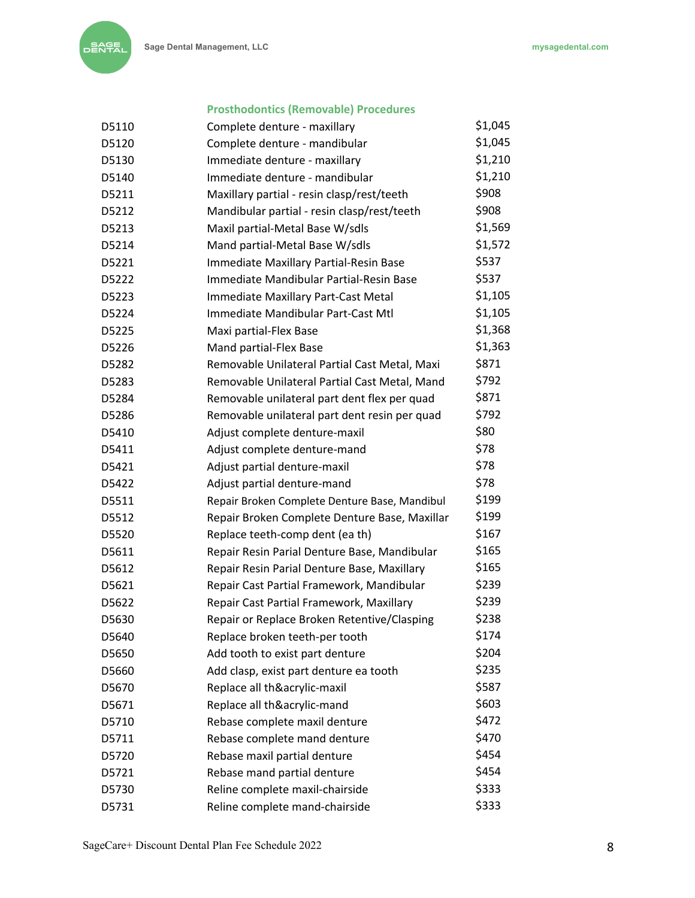## **Prosthodontics (Removable) Procedures**

| D5110 | Complete denture - maxillary                  | \$1,045 |
|-------|-----------------------------------------------|---------|
| D5120 | Complete denture - mandibular                 | \$1,045 |
| D5130 | Immediate denture - maxillary                 | \$1,210 |
| D5140 | Immediate denture - mandibular                | \$1,210 |
| D5211 | Maxillary partial - resin clasp/rest/teeth    | \$908   |
| D5212 | Mandibular partial - resin clasp/rest/teeth   | \$908   |
| D5213 | Maxil partial-Metal Base W/sdls               | \$1,569 |
| D5214 | Mand partial-Metal Base W/sdls                | \$1,572 |
| D5221 | Immediate Maxillary Partial-Resin Base        | \$537   |
| D5222 | Immediate Mandibular Partial-Resin Base       | \$537   |
| D5223 | Immediate Maxillary Part-Cast Metal           | \$1,105 |
| D5224 | Immediate Mandibular Part-Cast Mtl            | \$1,105 |
| D5225 | Maxi partial-Flex Base                        | \$1,368 |
| D5226 | Mand partial-Flex Base                        | \$1,363 |
| D5282 | Removable Unilateral Partial Cast Metal, Maxi | \$871   |
| D5283 | Removable Unilateral Partial Cast Metal, Mand | \$792   |
| D5284 | Removable unilateral part dent flex per quad  | \$871   |
| D5286 | Removable unilateral part dent resin per quad | \$792   |
| D5410 | Adjust complete denture-maxil                 | \$80    |
| D5411 | Adjust complete denture-mand                  | \$78    |
| D5421 | Adjust partial denture-maxil                  | \$78    |
| D5422 | Adjust partial denture-mand                   | \$78    |
| D5511 | Repair Broken Complete Denture Base, Mandibul | \$199   |
| D5512 | Repair Broken Complete Denture Base, Maxillar | \$199   |
| D5520 | Replace teeth-comp dent (ea th)               | \$167   |
| D5611 | Repair Resin Parial Denture Base, Mandibular  | \$165   |
| D5612 | Repair Resin Parial Denture Base, Maxillary   | \$165   |
| D5621 | Repair Cast Partial Framework, Mandibular     | \$239   |
| D5622 | Repair Cast Partial Framework, Maxillary      | \$239   |
| D5630 | Repair or Replace Broken Retentive/Clasping   | \$238   |
| D5640 | Replace broken teeth-per tooth                | \$174   |
| D5650 | Add tooth to exist part denture               | \$204   |
| D5660 | Add clasp, exist part denture ea tooth        | \$235   |
| D5670 | Replace all th&acrylic-maxil                  | \$587   |
| D5671 | Replace all th&acrylic-mand                   | \$603   |
| D5710 | Rebase complete maxil denture                 | \$472   |
| D5711 | Rebase complete mand denture                  | \$470   |
| D5720 | Rebase maxil partial denture                  | \$454   |
| D5721 | Rebase mand partial denture                   | \$454   |
| D5730 | Reline complete maxil-chairside               | \$333   |
| D5731 | Reline complete mand-chairside                | \$333   |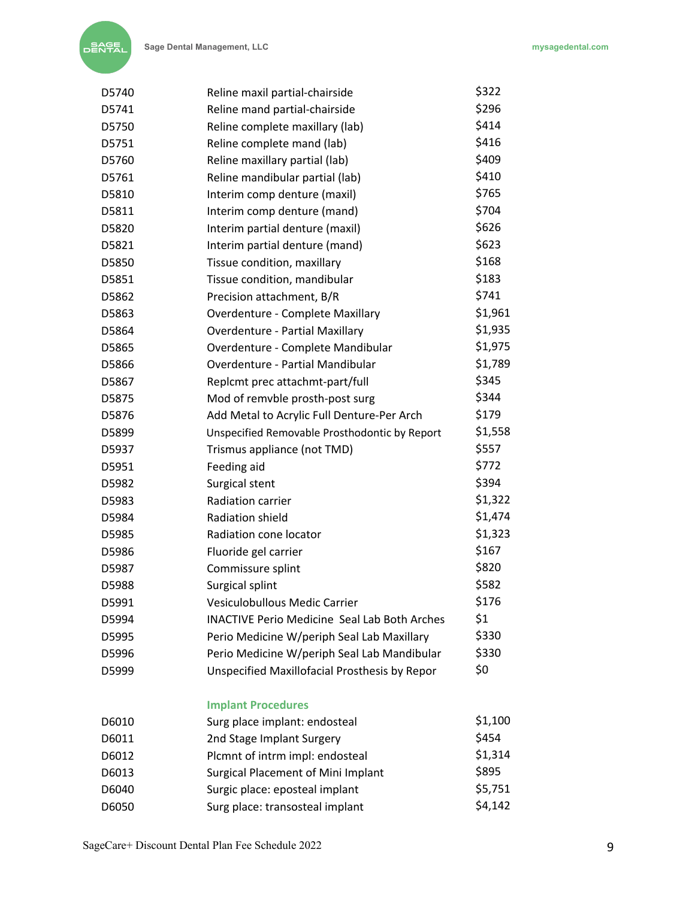| D5740 | Reline maxil partial-chairside                      | \$322   |
|-------|-----------------------------------------------------|---------|
| D5741 | Reline mand partial-chairside                       | \$296   |
| D5750 | Reline complete maxillary (lab)                     | \$414   |
| D5751 | Reline complete mand (lab)                          | \$416   |
| D5760 | Reline maxillary partial (lab)                      | \$409   |
| D5761 | Reline mandibular partial (lab)                     | \$410   |
| D5810 | Interim comp denture (maxil)                        | \$765   |
| D5811 | Interim comp denture (mand)                         | \$704   |
| D5820 | Interim partial denture (maxil)                     | \$626   |
| D5821 | Interim partial denture (mand)                      | \$623   |
| D5850 | Tissue condition, maxillary                         | \$168   |
| D5851 | Tissue condition, mandibular                        | \$183   |
| D5862 | Precision attachment, B/R                           | \$741   |
| D5863 | Overdenture - Complete Maxillary                    | \$1,961 |
| D5864 | <b>Overdenture - Partial Maxillary</b>              | \$1,935 |
| D5865 | Overdenture - Complete Mandibular                   | \$1,975 |
| D5866 | <b>Overdenture - Partial Mandibular</b>             | \$1,789 |
| D5867 | Replcmt prec attachmt-part/full                     | \$345   |
| D5875 | Mod of remvble prosth-post surg                     | \$344   |
| D5876 | Add Metal to Acrylic Full Denture-Per Arch          | \$179   |
| D5899 | Unspecified Removable Prosthodontic by Report       | \$1,558 |
| D5937 | Trismus appliance (not TMD)                         | \$557   |
| D5951 | Feeding aid                                         | \$772   |
| D5982 | Surgical stent                                      | \$394   |
| D5983 | Radiation carrier                                   | \$1,322 |
| D5984 | Radiation shield                                    | \$1,474 |
| D5985 | Radiation cone locator                              | \$1,323 |
| D5986 | Fluoride gel carrier                                | \$167   |
| D5987 | Commissure splint                                   | \$820   |
| D5988 | Surgical splint                                     | \$582   |
| D5991 | Vesiculobullous Medic Carrier                       | \$176   |
| D5994 | <b>INACTIVE Perio Medicine Seal Lab Both Arches</b> | \$1     |
| D5995 | Perio Medicine W/periph Seal Lab Maxillary          | \$330   |
| D5996 | Perio Medicine W/periph Seal Lab Mandibular         | \$330   |
| D5999 | Unspecified Maxillofacial Prosthesis by Repor       | \$0     |
|       | <b>Implant Procedures</b>                           |         |
| D6010 | Surg place implant: endosteal                       | \$1,100 |
| D6011 | 2nd Stage Implant Surgery                           | \$454   |
| D6012 | Plcmnt of intrm impl: endosteal                     | \$1,314 |
| D6013 | <b>Surgical Placement of Mini Implant</b>           | \$895   |
| D6040 | Surgic place: eposteal implant                      | \$5,751 |
| D6050 | Surg place: transosteal implant                     | \$4,142 |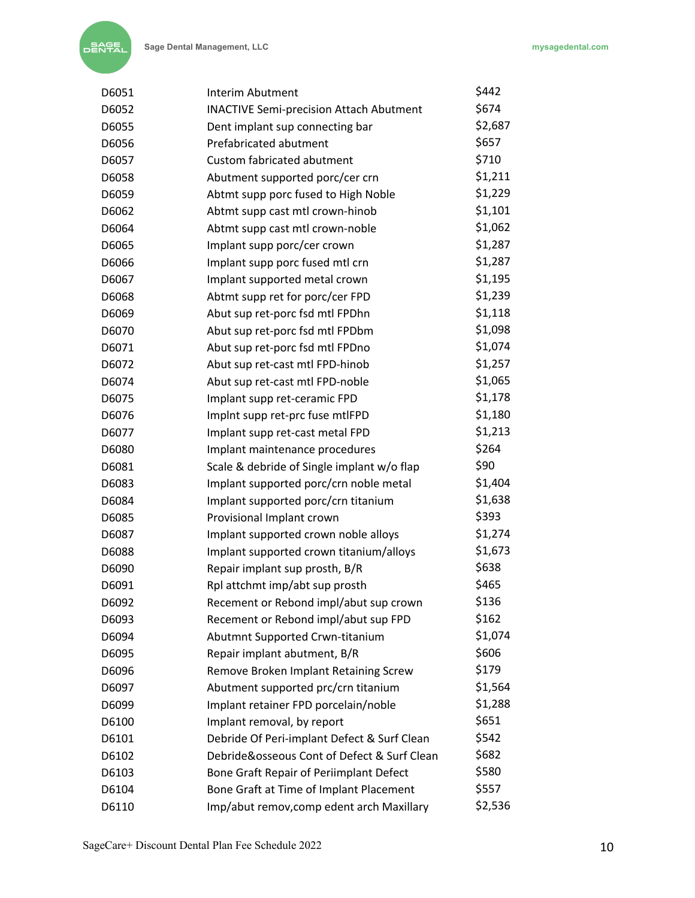| D6051 | Interim Abutment                               | \$442   |
|-------|------------------------------------------------|---------|
| D6052 | <b>INACTIVE Semi-precision Attach Abutment</b> | \$674   |
| D6055 | Dent implant sup connecting bar                | \$2,687 |
| D6056 | Prefabricated abutment                         | \$657   |
| D6057 | <b>Custom fabricated abutment</b>              | \$710   |
| D6058 | Abutment supported porc/cer crn                | \$1,211 |
| D6059 | Abtmt supp porc fused to High Noble            | \$1,229 |
| D6062 | Abtmt supp cast mtl crown-hinob                | \$1,101 |
| D6064 | Abtmt supp cast mtl crown-noble                | \$1,062 |
| D6065 | Implant supp porc/cer crown                    | \$1,287 |
| D6066 | Implant supp porc fused mtl crn                | \$1,287 |
| D6067 | Implant supported metal crown                  | \$1,195 |
| D6068 | Abtmt supp ret for porc/cer FPD                | \$1,239 |
| D6069 | Abut sup ret-porc fsd mtl FPDhn                | \$1,118 |
| D6070 | Abut sup ret-porc fsd mtl FPDbm                | \$1,098 |
| D6071 | Abut sup ret-porc fsd mtl FPDno                | \$1,074 |
| D6072 | Abut sup ret-cast mtl FPD-hinob                | \$1,257 |
| D6074 | Abut sup ret-cast mtl FPD-noble                | \$1,065 |
| D6075 | Implant supp ret-ceramic FPD                   | \$1,178 |
| D6076 | Implnt supp ret-prc fuse mtlFPD                | \$1,180 |
| D6077 | Implant supp ret-cast metal FPD                | \$1,213 |
| D6080 | Implant maintenance procedures                 | \$264   |
| D6081 | Scale & debride of Single implant w/o flap     | \$90    |
| D6083 | Implant supported porc/crn noble metal         | \$1,404 |
| D6084 | Implant supported porc/crn titanium            | \$1,638 |
| D6085 | Provisional Implant crown                      | \$393   |
| D6087 | Implant supported crown noble alloys           | \$1,274 |
| D6088 | Implant supported crown titanium/alloys        | \$1,673 |
| D6090 | Repair implant sup prosth, B/R                 | \$638   |
| D6091 | Rpl attchmt imp/abt sup prosth                 | \$465   |
| D6092 | Recement or Rebond impl/abut sup crown         | \$136   |
| D6093 | Recement or Rebond impl/abut sup FPD           | \$162   |
| D6094 | Abutmnt Supported Crwn-titanium                | \$1,074 |
| D6095 | Repair implant abutment, B/R                   | \$606   |
| D6096 | Remove Broken Implant Retaining Screw          | \$179   |
| D6097 | Abutment supported prc/crn titanium            | \$1,564 |
| D6099 | Implant retainer FPD porcelain/noble           | \$1,288 |
| D6100 | Implant removal, by report                     | \$651   |
| D6101 | Debride Of Peri-implant Defect & Surf Clean    | \$542   |
| D6102 | Debride&osseous Cont of Defect & Surf Clean    | \$682   |
| D6103 | Bone Graft Repair of Periimplant Defect        | \$580   |
| D6104 | Bone Graft at Time of Implant Placement        | \$557   |
| D6110 | Imp/abut remov, comp edent arch Maxillary      | \$2,536 |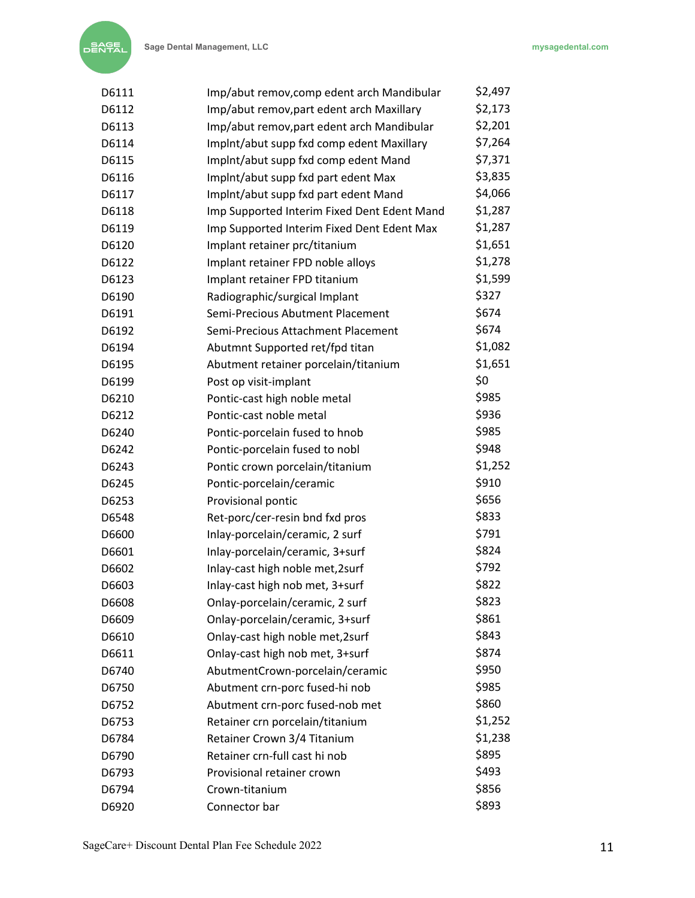| D6111 | Imp/abut remov, comp edent arch Mandibular  | \$2,497 |
|-------|---------------------------------------------|---------|
| D6112 | Imp/abut remov, part edent arch Maxillary   | \$2,173 |
| D6113 | Imp/abut remov, part edent arch Mandibular  | \$2,201 |
| D6114 | Implnt/abut supp fxd comp edent Maxillary   | \$7,264 |
| D6115 | Implnt/abut supp fxd comp edent Mand        | \$7,371 |
| D6116 | Implnt/abut supp fxd part edent Max         | \$3,835 |
| D6117 | Implnt/abut supp fxd part edent Mand        | \$4,066 |
| D6118 | Imp Supported Interim Fixed Dent Edent Mand | \$1,287 |
| D6119 | Imp Supported Interim Fixed Dent Edent Max  | \$1,287 |
| D6120 | Implant retainer prc/titanium               | \$1,651 |
| D6122 | Implant retainer FPD noble alloys           | \$1,278 |
| D6123 | Implant retainer FPD titanium               | \$1,599 |
| D6190 | Radiographic/surgical Implant               | \$327   |
| D6191 | Semi-Precious Abutment Placement            | \$674   |
| D6192 | Semi-Precious Attachment Placement          | \$674   |
| D6194 | Abutmnt Supported ret/fpd titan             | \$1,082 |
| D6195 | Abutment retainer porcelain/titanium        | \$1,651 |
| D6199 | Post op visit-implant                       | \$0     |
| D6210 | Pontic-cast high noble metal                | \$985   |
| D6212 | Pontic-cast noble metal                     | \$936   |
| D6240 | Pontic-porcelain fused to hnob              | \$985   |
| D6242 | Pontic-porcelain fused to nobl              | \$948   |
| D6243 | Pontic crown porcelain/titanium             | \$1,252 |
| D6245 | Pontic-porcelain/ceramic                    | \$910   |
| D6253 | Provisional pontic                          | \$656   |
| D6548 | Ret-porc/cer-resin bnd fxd pros             | \$833   |
| D6600 | Inlay-porcelain/ceramic, 2 surf             | \$791   |
| D6601 | Inlay-porcelain/ceramic, 3+surf             | \$824   |
| D6602 | Inlay-cast high noble met, 2surf            | \$792   |
| D6603 | Inlay-cast high nob met, 3+surf             | \$822   |
| D6608 | Onlay-porcelain/ceramic, 2 surf             | \$823   |
| D6609 | Onlay-porcelain/ceramic, 3+surf             | \$861   |
| D6610 | Onlay-cast high noble met, 2surf            | \$843   |
| D6611 | Onlay-cast high nob met, 3+surf             | \$874   |
| D6740 | AbutmentCrown-porcelain/ceramic             | \$950   |
| D6750 | Abutment crn-porc fused-hi nob              | \$985   |
| D6752 | Abutment crn-porc fused-nob met             | \$860   |
| D6753 | Retainer crn porcelain/titanium             | \$1,252 |
| D6784 | Retainer Crown 3/4 Titanium                 | \$1,238 |
| D6790 | Retainer crn-full cast hi nob               | \$895   |
| D6793 | Provisional retainer crown                  | \$493   |
| D6794 | Crown-titanium                              | \$856   |
| D6920 | Connector bar                               | \$893   |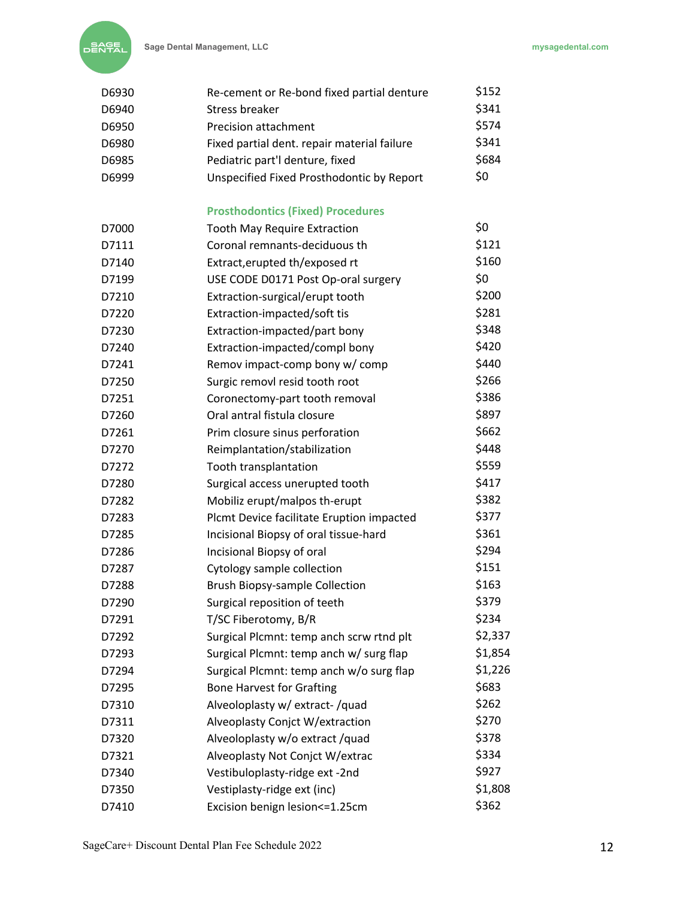

| D6930 | Re-cement or Re-bond fixed partial denture  | \$152   |
|-------|---------------------------------------------|---------|
| D6940 | Stress breaker                              | \$341   |
| D6950 | <b>Precision attachment</b>                 | \$574   |
| D6980 | Fixed partial dent. repair material failure | \$341   |
| D6985 | Pediatric part'l denture, fixed             | \$684   |
| D6999 | Unspecified Fixed Prosthodontic by Report   | \$0     |
|       | <b>Prosthodontics (Fixed) Procedures</b>    |         |
| D7000 | <b>Tooth May Require Extraction</b>         | \$0     |
| D7111 | Coronal remnants-deciduous th               | \$121   |
| D7140 | Extract, erupted th/exposed rt              | \$160   |
| D7199 | USE CODE D0171 Post Op-oral surgery         | \$0     |
| D7210 | Extraction-surgical/erupt tooth             | \$200   |
| D7220 | Extraction-impacted/soft tis                | \$281   |
| D7230 | Extraction-impacted/part bony               | \$348   |
| D7240 | Extraction-impacted/compl bony              | \$420   |
| D7241 | Remov impact-comp bony w/ comp              | \$440   |
| D7250 | Surgic removl resid tooth root              | \$266   |
| D7251 | Coronectomy-part tooth removal              | \$386   |
| D7260 | Oral antral fistula closure                 | \$897   |
| D7261 | Prim closure sinus perforation              | \$662   |
| D7270 | Reimplantation/stabilization                | \$448   |
| D7272 | Tooth transplantation                       | \$559   |
| D7280 | Surgical access unerupted tooth             | \$417   |
| D7282 | Mobiliz erupt/malpos th-erupt               | \$382   |
| D7283 | Plcmt Device facilitate Eruption impacted   | \$377   |
| D7285 | Incisional Biopsy of oral tissue-hard       | \$361   |
| D7286 | Incisional Biopsy of oral                   | \$294   |
| D7287 | Cytology sample collection                  | \$151   |
| D7288 | <b>Brush Biopsy-sample Collection</b>       | \$163   |
| D7290 | Surgical reposition of teeth                | \$379   |
| D7291 | T/SC Fiberotomy, B/R                        | \$234   |
| D7292 | Surgical Plcmnt: temp anch scrw rtnd plt    | \$2,337 |
| D7293 | Surgical Plcmnt: temp anch w/ surg flap     | \$1,854 |
| D7294 | Surgical Plcmnt: temp anch w/o surg flap    | \$1,226 |
| D7295 | <b>Bone Harvest for Grafting</b>            | \$683   |
| D7310 | Alveoloplasty w/ extract-/quad              | \$262   |
| D7311 | Alveoplasty Conjct W/extraction             | \$270   |
| D7320 | Alveoloplasty w/o extract /quad             | \$378   |
| D7321 | Alveoplasty Not Conjct W/extrac             | \$334   |
| D7340 | Vestibuloplasty-ridge ext -2nd              | \$927   |
| D7350 | Vestiplasty-ridge ext (inc)                 | \$1,808 |
| D7410 | Excision benign lesion <= 1.25cm            | \$362   |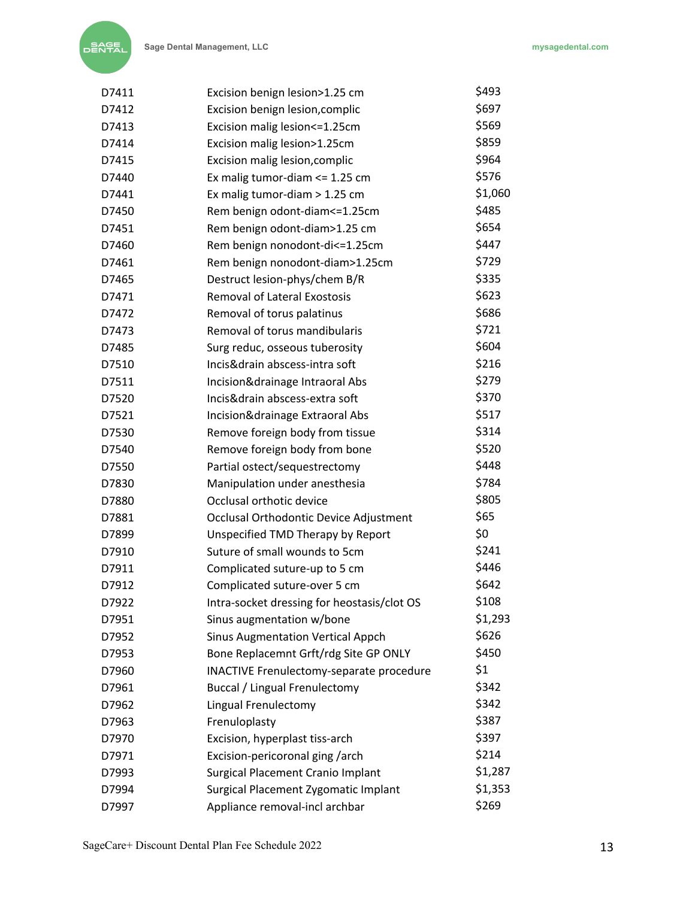| D7411 | Excision benign lesion>1.25 cm                  | \$493   |
|-------|-------------------------------------------------|---------|
| D7412 | Excision benign lesion, complic                 | \$697   |
| D7413 | Excision malig lesion <= 1.25cm                 | \$569   |
| D7414 | Excision malig lesion>1.25cm                    | \$859   |
| D7415 | Excision malig lesion, complic                  | \$964   |
| D7440 | Ex malig tumor-diam <= 1.25 cm                  | \$576   |
| D7441 | Ex malig tumor-diam > 1.25 cm                   | \$1,060 |
| D7450 | Rem benign odont-diam <= 1.25cm                 | \$485   |
| D7451 | Rem benign odont-diam>1.25 cm                   | \$654   |
| D7460 | Rem benign nonodont-di<=1.25cm                  | \$447   |
| D7461 | Rem benign nonodont-diam>1.25cm                 | \$729   |
| D7465 | Destruct lesion-phys/chem B/R                   | \$335   |
| D7471 | <b>Removal of Lateral Exostosis</b>             | \$623   |
| D7472 | Removal of torus palatinus                      | \$686   |
| D7473 | Removal of torus mandibularis                   | \$721   |
| D7485 | Surg reduc, osseous tuberosity                  | \$604   |
| D7510 | Incis&drain abscess-intra soft                  | \$216   |
| D7511 | Incision&drainage Intraoral Abs                 | \$279   |
| D7520 | Incis&drain abscess-extra soft                  | \$370   |
| D7521 | Incision&drainage Extraoral Abs                 | \$517   |
| D7530 | Remove foreign body from tissue                 | \$314   |
| D7540 | Remove foreign body from bone                   | \$520   |
| D7550 | Partial ostect/sequestrectomy                   | \$448   |
| D7830 | Manipulation under anesthesia                   | \$784   |
| D7880 | Occlusal orthotic device                        | \$805   |
| D7881 | Occlusal Orthodontic Device Adjustment          | \$65    |
| D7899 | Unspecified TMD Therapy by Report               | \$0     |
| D7910 | Suture of small wounds to 5cm                   | \$241   |
| D7911 | Complicated suture-up to 5 cm                   | \$446   |
| D7912 | Complicated suture-over 5 cm                    | \$642   |
| D7922 | Intra-socket dressing for heostasis/clot OS     | \$108   |
| D7951 | Sinus augmentation w/bone                       | \$1,293 |
| D7952 | <b>Sinus Augmentation Vertical Appch</b>        | \$626   |
| D7953 | Bone Replacemnt Grft/rdg Site GP ONLY           | \$450   |
| D7960 | <b>INACTIVE Frenulectomy-separate procedure</b> | \$1     |
| D7961 | Buccal / Lingual Frenulectomy                   | \$342   |
| D7962 | Lingual Frenulectomy                            | \$342   |
| D7963 | Frenuloplasty                                   | \$387   |
| D7970 | Excision, hyperplast tiss-arch                  | \$397   |
| D7971 | Excision-pericoronal ging /arch                 | \$214   |
| D7993 | Surgical Placement Cranio Implant               | \$1,287 |
| D7994 | Surgical Placement Zygomatic Implant            | \$1,353 |
| D7997 | Appliance removal-incl archbar                  | \$269   |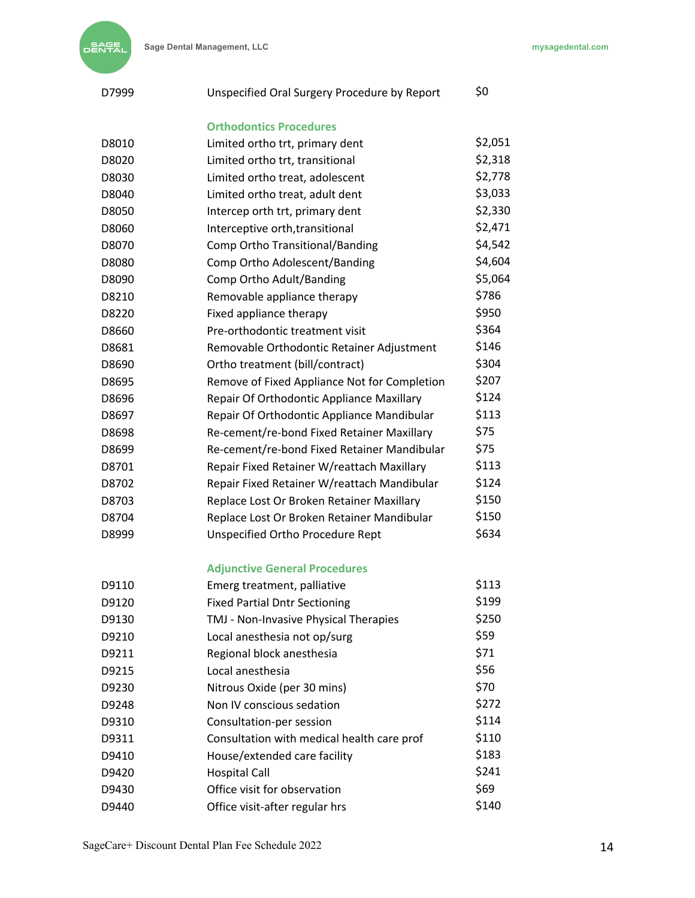| D7999 | Unspecified Oral Surgery Procedure by Report | \$0     |
|-------|----------------------------------------------|---------|
|       | <b>Orthodontics Procedures</b>               |         |
| D8010 | Limited ortho trt, primary dent              | \$2,051 |
| D8020 | Limited ortho trt, transitional              | \$2,318 |
| D8030 | Limited ortho treat, adolescent              | \$2,778 |
| D8040 | Limited ortho treat, adult dent              | \$3,033 |
| D8050 | Intercep orth trt, primary dent              | \$2,330 |
| D8060 | Interceptive orth, transitional              | \$2,471 |
| D8070 | Comp Ortho Transitional/Banding              | \$4,542 |
| D8080 | Comp Ortho Adolescent/Banding                | \$4,604 |
| D8090 | Comp Ortho Adult/Banding                     | \$5,064 |
| D8210 | Removable appliance therapy                  | \$786   |
| D8220 | Fixed appliance therapy                      | \$950   |
| D8660 | Pre-orthodontic treatment visit              | \$364   |
| D8681 | Removable Orthodontic Retainer Adjustment    | \$146   |
| D8690 | Ortho treatment (bill/contract)              | \$304   |
| D8695 | Remove of Fixed Appliance Not for Completion | \$207   |
| D8696 | Repair Of Orthodontic Appliance Maxillary    | \$124   |
| D8697 | Repair Of Orthodontic Appliance Mandibular   | \$113   |
| D8698 | Re-cement/re-bond Fixed Retainer Maxillary   | \$75    |
| D8699 | Re-cement/re-bond Fixed Retainer Mandibular  | \$75    |
| D8701 | Repair Fixed Retainer W/reattach Maxillary   | \$113   |
| D8702 | Repair Fixed Retainer W/reattach Mandibular  | \$124   |
| D8703 | Replace Lost Or Broken Retainer Maxillary    | \$150   |
| D8704 | Replace Lost Or Broken Retainer Mandibular   | \$150   |
| D8999 | Unspecified Ortho Procedure Rept             | \$634   |
|       | <b>Adjunctive General Procedures</b>         |         |
| D9110 | Emerg treatment, palliative                  | \$113   |
| D9120 | <b>Fixed Partial Dntr Sectioning</b>         | \$199   |
| D9130 | TMJ - Non-Invasive Physical Therapies        | \$250   |
| D9210 | Local anesthesia not op/surg                 | \$59    |
| D9211 | Regional block anesthesia                    | \$71    |
| D9215 | Local anesthesia                             | \$56    |
| D9230 | Nitrous Oxide (per 30 mins)                  | \$70    |
| D9248 | Non IV conscious sedation                    | \$272   |
| D9310 | Consultation-per session                     | \$114   |
| D9311 | Consultation with medical health care prof   | \$110   |
| D9410 | House/extended care facility                 | \$183   |
| D9420 | <b>Hospital Call</b>                         | \$241   |
| D9430 | Office visit for observation                 | \$69    |
| D9440 | Office visit-after regular hrs               | \$140   |